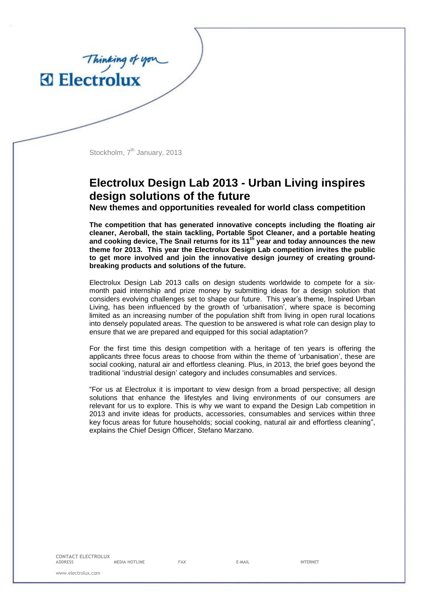

Thinking of you

## **Electrolux Design Lab 2013 - Urban Living inspires design solutions of the future**

**New themes and opportunities revealed for world class competition**

**The competition that has generated innovative concepts including the floating air cleaner, Aeroball, the stain tackling, Portable Spot Cleaner, and a portable heating and cooking device, The Snail returns for its 11th year and today announces the new theme for 2013. This year the Electrolux Design Lab competition invites the public to get more involved and join the innovative design journey of creating groundbreaking products and solutions of the future.** 

Electrolux Design Lab 2013 calls on design students worldwide to compete for a sixmonth paid internship and prize money by submitting ideas for a design solution that considers evolving challenges set to shape our future. This year's theme, Inspired Urban Living, has been influenced by the growth of 'urbanisation', where space is becoming limited as an increasing number of the population shift from living in open rural locations into densely populated areas. The question to be answered is what role can design play to ensure that we are prepared and equipped for this social adaptation?

For the first time this design competition with a heritage of ten years is offering the applicants three focus areas to choose from within the theme of 'urbanisation', these are social cooking, natural air and effortless cleaning. Plus, in 2013, the brief goes beyond the traditional 'industrial design' category and includes consumables and services.

"For us at Electrolux it is important to view design from a broad perspective; all design solutions that enhance the lifestyles and living environments of our consumers are relevant for us to explore. This is why we want to expand the Design Lab competition in 2013 and invite ideas for products, accessories, consumables and services within three key focus areas for future households; social cooking, natural air and effortless cleaning", explains the Chief Design Officer, Stefano Marzano.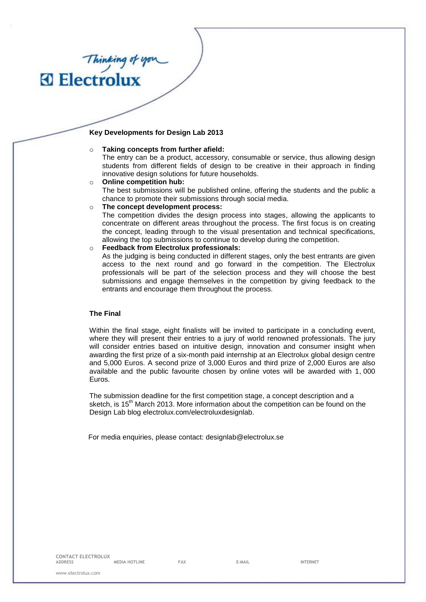### **Key Developments for Design Lab 2013**

#### o **Taking concepts from further afield:**

The entry can be a product, accessory, consumable or service, thus allowing design students from different fields of design to be creative in their approach in finding innovative design solutions for future households.

- o **Online competition hub:** The best submissions will be published online, offering the students and the public a chance to promote their submissions through social media.
- o **The concept development process:**

The competition divides the design process into stages, allowing the applicants to concentrate on different areas throughout the process. The first focus is on creating the concept, leading through to the visual presentation and technical specifications, allowing the top submissions to continue to develop during the competition.

o **Feedback from Electrolux professionals:**

As the judging is being conducted in different stages, only the best entrants are given access to the next round and go forward in the competition. The Electrolux professionals will be part of the selection process and they will choose the best submissions and engage themselves in the competition by giving feedback to the entrants and encourage them throughout the process.

#### **The Final**

Thinking of you

Within the final stage, eight finalists will be invited to participate in a concluding event, where they will present their entries to a jury of world renowned professionals. The jury will consider entries based on intuitive design, innovation and consumer insight when awarding the first prize of a six-month paid internship at an Electrolux global design centre and 5,000 Euros. A second prize of 3,000 Euros and third prize of 2,000 Euros are also available and the public favourite chosen by online votes will be awarded with 1, 000 Euros.

The submission deadline for the first competition stage, a concept description and a sketch, is 15<sup>th</sup> March 2013. More information about the competition can be found on the Design Lab blog electrolux.com/electroluxdesignlab.

For media enquiries, please contact: [designlab@electrolux.se](mailto:designlab@electrolux.se)